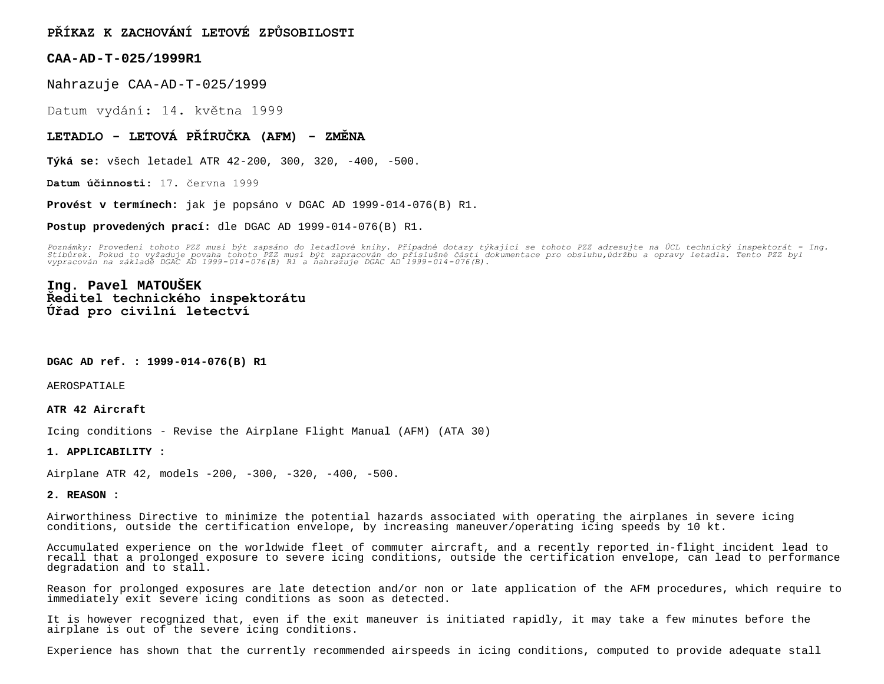# **PŘÍKAZ K ZACHOVÁNÍ LETOVÉ ZPŮSOBILOSTI**

### **CAA-AD-T-025/1999R1**

Nahrazuje CAA-AD-T-025/1999

Datum vydání: 14. května 1999

### **LETADLO - LETOVÁ PŘÍRUČKA (AFM) - ZMĚNA**

**Týká se:** všech letadel ATR 42-200, 300, 320, -400, -500.

**Datum účinnosti:** 17. června 1999

**Provést v termínech:** jak je popsáno v DGAC AD 1999-014-076(B) R1.

**Postup provedených prací:** dle DGAC AD 1999-014-076(B) R1.

Poznámky: Provedení tohoto PZZ musí být zapsáno do letadlové knihy. Případné dotazy týkající se tohoto PZZ adresujte na ÚCL technický inspektorát – Ing.<br>Stibůrek. Pokud to vyžaduje povaha tohoto PZZ musí být zapracován do

## **Ing. Pavel MATOUŠEK Ředitel technického inspektorátu Úřad pro civilní letectví**

**DGAC AD ref. : 1999-014-076(B) R1**

AEROSPATIALE

#### **ATR 42 Aircraft**

Icing conditions - Revise the Airplane Flight Manual (AFM) (ATA 30)

#### **1. APPLICABILITY :**

Airplane ATR 42, models -200, -300, -320, -400, -500.

#### **2. REASON :**

Airworthiness Directive to minimize the potential hazards associated with operating the airplanes in severe icing conditions, outside the certification envelope, by increasing maneuver/operating icing speeds by 10 kt.

Accumulated experience on the worldwide fleet of commuter aircraft, and a recently reported in-flight incident lead to recall that a prolonged exposure to severe icing conditions, outside the certification envelope, can lead to performance degradation and to stall.

Reason for prolonged exposures are late detection and/or non or late application of the AFM procedures, which require to immediately exit severe icing conditions as soon as detected.

It is however recognized that, even if the exit maneuver is initiated rapidly, it may take a few minutes before the airplane is out of the severe icing conditions.

Experience has shown that the currently recommended airspeeds in icing conditions, computed to provide adequate stall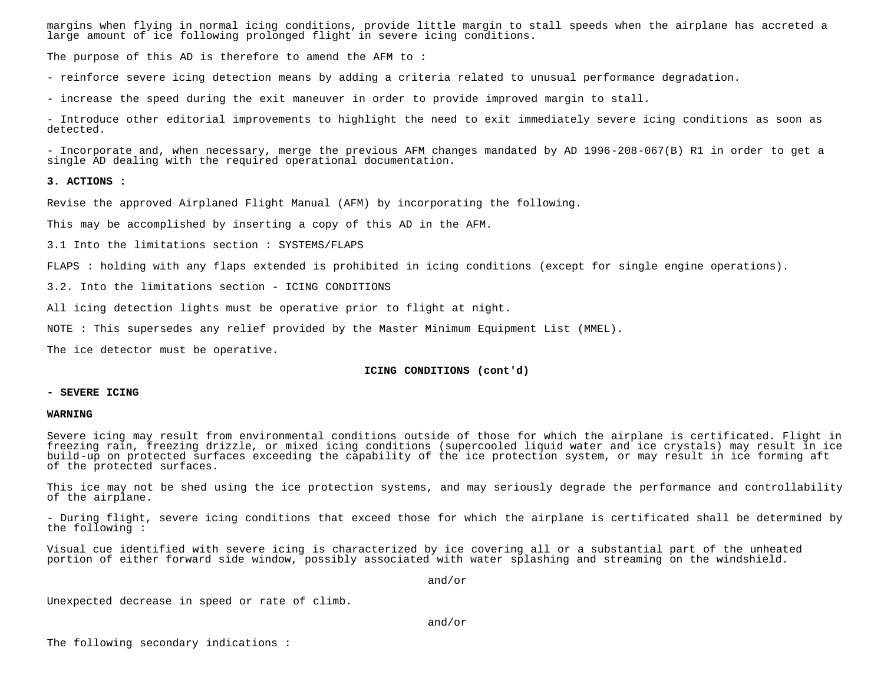margins when flying in normal icing conditions, provide little margin to stall speeds when the airplane has accreted a large amount of ice following prolonged flight in severe icing conditions.

The purpose of this AD is therefore to amend the AFM to :

- reinforce severe icing detection means by adding a criteria related to unusual performance degradation.

- increase the speed during the exit maneuver in order to provide improved margin to stall.

- Introduce other editorial improvements to highlight the need to exit immediately severe icing conditions as soon as detected.

- Incorporate and, when necessary, merge the previous AFM changes mandated by AD 1996-208-067(B) R1 in order to get a single AD dealing with the required operational documentation.

#### **3. ACTIONS :**

Revise the approved Airplaned Flight Manual (AFM) by incorporating the following.

This may be accomplished by inserting a copy of this AD in the AFM.

3.1 Into the limitations section : SYSTEMS/FLAPS

FLAPS : holding with any flaps extended is prohibited in icing conditions (except for single engine operations).

3.2. Into the limitations section - ICING CONDITIONS

All icing detection lights must be operative prior to flight at night.

NOTE : This supersedes any relief provided by the Master Minimum Equipment List (MMEL).

The ice detector must be operative.

#### **ICING CONDITIONS (cont'd)**

#### **- SEVERE ICING**

#### **WARNING**

Severe icing may result from environmental conditions outside of those for which the airplane is certificated. Flight in freezing rain, freezing drizzle, or mixed icing conditions (supercooled liquid water and ice crystals) may result in ice build-up on protected surfaces exceeding the capability of the ice protection system, or may result in ice forming aft of the protected surfaces.

This ice may not be shed using the ice protection systems, and may seriously degrade the performance and controllability of the airplane.

- During flight, severe icing conditions that exceed those for which the airplane is certificated shall be determined by the following :

Visual cue identified with severe icing is characterized by ice covering all or a substantial part of the unheated portion of either forward side window, possibly associated with water splashing and streaming on the windshield.

and/or

Unexpected decrease in speed or rate of climb.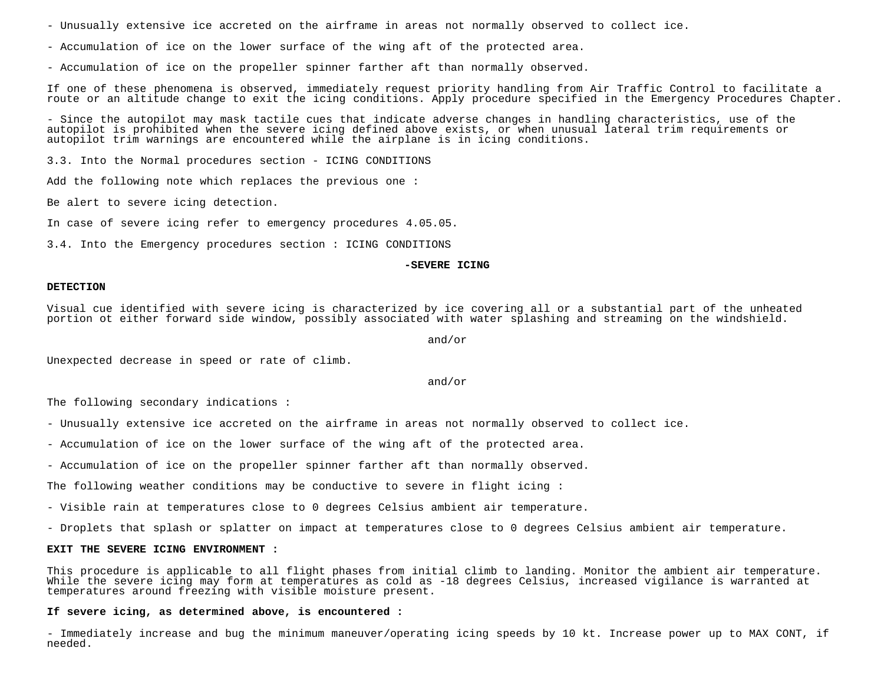- Unusually extensive ice accreted on the airframe in areas not normally observed to collect ice.

- Accumulation of ice on the lower surface of the wing aft of the protected area.

- Accumulation of ice on the propeller spinner farther aft than normally observed.

If one of these phenomena is observed, immediately request priority handling from Air Traffic Control to facilitate a route or an altitude change to exit the icing conditions. Apply procedure specified in the Emergency Procedures Chapter.

- Since the autopilot may mask tactile cues that indicate adverse changes in handling characteristics, use of the autopilot is prohibited when the severe icing defined above exists, or when unusual lateral trim requirements or autopilot trim warnings are encountered while the airplane is in icing conditions.

3.3. Into the Normal procedures section - ICING CONDITIONS

Add the following note which replaces the previous one :

Be alert to severe icing detection.

In case of severe icing refer to emergency procedures 4.05.05.

3.4. Into the Emergency procedures section : ICING CONDITIONS

#### **-SEVERE ICING**

#### **DETECTION**

Visual cue identified with severe icing is characterized by ice covering all or a substantial part of the unheated portion ot either forward side window, possibly associated with water splashing and streaming on the windshield.

and/or

Unexpected decrease in speed or rate of climb.

and/or

The following secondary indications :

- Unusually extensive ice accreted on the airframe in areas not normally observed to collect ice.
- Accumulation of ice on the lower surface of the wing aft of the protected area.
- Accumulation of ice on the propeller spinner farther aft than normally observed.

The following weather conditions may be conductive to severe in flight icing :

- Visible rain at temperatures close to 0 degrees Celsius ambient air temperature.
- Droplets that splash or splatter on impact at temperatures close to 0 degrees Celsius ambient air temperature.

#### **EXIT THE SEVERE ICING ENVIRONMENT :**

This procedure is applicable to all flight phases from initial climb to landing. Monitor the ambient air temperature. While the severe icing may form at temperatures as cold as -18 degrees Celsius, increased vigilance is warranted at temperatures around freezing with visible moisture present.

#### **If severe icing, as determined above, is encountered :**

- Immediately increase and bug the minimum maneuver/operating icing speeds by 10 kt. Increase power up to MAX CONT, if needed.